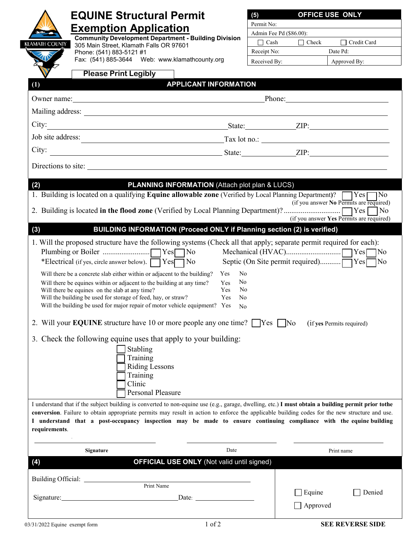| <b>EQUINE Structural Permit</b>                                                                                                                                                                                                                                                                                                                                                                                                                                                              | OFFICE USE ONLY<br>(5)                     |  |
|----------------------------------------------------------------------------------------------------------------------------------------------------------------------------------------------------------------------------------------------------------------------------------------------------------------------------------------------------------------------------------------------------------------------------------------------------------------------------------------------|--------------------------------------------|--|
|                                                                                                                                                                                                                                                                                                                                                                                                                                                                                              | Permit No:                                 |  |
| <b>Exemption Application</b><br><b>Community Development Department - Building Division</b>                                                                                                                                                                                                                                                                                                                                                                                                  | Admin Fee Pd (\$86.00):                    |  |
| KLAMATH COUNTY<br>305 Main Street, Klamath Falls OR 97601                                                                                                                                                                                                                                                                                                                                                                                                                                    | Credit Card<br>$\Box$ Cash<br>$\Box$ Check |  |
| Phone: (541) 883-5121 #1<br>Fax: (541) 885-3644 Web: www.klamathcounty.org                                                                                                                                                                                                                                                                                                                                                                                                                   | Receipt No:<br>Date Pd:                    |  |
|                                                                                                                                                                                                                                                                                                                                                                                                                                                                                              | Received By:<br>Approved By:               |  |
| <b>Please Print Legibly</b>                                                                                                                                                                                                                                                                                                                                                                                                                                                                  |                                            |  |
| <b>APPLICANT INFORMATION</b><br>(1)                                                                                                                                                                                                                                                                                                                                                                                                                                                          |                                            |  |
| Owner name: Phone: Phone: Phone:                                                                                                                                                                                                                                                                                                                                                                                                                                                             |                                            |  |
|                                                                                                                                                                                                                                                                                                                                                                                                                                                                                              |                                            |  |
|                                                                                                                                                                                                                                                                                                                                                                                                                                                                                              |                                            |  |
| Job site address:<br>$\frac{1}{2}$ Tax lot no.:                                                                                                                                                                                                                                                                                                                                                                                                                                              |                                            |  |
|                                                                                                                                                                                                                                                                                                                                                                                                                                                                                              |                                            |  |
| Directions to site:                                                                                                                                                                                                                                                                                                                                                                                                                                                                          |                                            |  |
|                                                                                                                                                                                                                                                                                                                                                                                                                                                                                              |                                            |  |
| <b>PLANNING INFORMATION (Attach plot plan &amp; LUCS)</b><br>(2)                                                                                                                                                                                                                                                                                                                                                                                                                             |                                            |  |
| 1. Building is located on a qualifying Equine allowable zone (Verified by Local Planning Department)? TYes<br>(if you answer No Permits are required)                                                                                                                                                                                                                                                                                                                                        |                                            |  |
|                                                                                                                                                                                                                                                                                                                                                                                                                                                                                              | $\blacksquare$ No                          |  |
| (if you answer Yes Permits are required)                                                                                                                                                                                                                                                                                                                                                                                                                                                     |                                            |  |
| (3)<br>BUILDING INFORMATION (Proceed ONLY if Planning section (2) is verified)<br>1. Will the proposed structure have the following systems (Check all that apply; separate permit required for each):                                                                                                                                                                                                                                                                                       |                                            |  |
| *Electrical (if yes, circle answer below). T Yes<br>Will there be a concrete slab either within or adjacent to the building? Yes<br>No<br>N <sub>0</sub><br>Will there be equines within or adjacent to the building at any time?<br><b>Yes</b><br>Yes<br>No<br>Will there be equines on the slab at any time?<br>Will the building be used for storage of feed, hay, or straw?<br>Yes<br>No<br>Will the building be used for major repair of motor vehicle equipment? Yes<br>N <sub>o</sub> |                                            |  |
| 2. Will your <b>EQUINE</b> structure have 10 or more people any one time? $\Box$ Yes $\Box$ No<br>(if yes Permits required)                                                                                                                                                                                                                                                                                                                                                                  |                                            |  |
| 3. Check the following equine uses that apply to your building:<br>Stabling<br>Training<br><b>Riding Lessons</b><br>Training<br>Clinic<br><b>Personal Pleasure</b>                                                                                                                                                                                                                                                                                                                           |                                            |  |
| I understand that if the subject building is converted to non-equine use (e.g., garage, dwelling, etc.) I must obtain a building permit prior tothe<br>conversion. Failure to obtain appropriate permits may result in action to enforce the applicable building codes for the new structure and use.<br>I understand that a post-occupancy inspection may be made to ensure continuing compliance with the equine building<br>requirements.                                                 |                                            |  |
| Date<br><b>Signature</b>                                                                                                                                                                                                                                                                                                                                                                                                                                                                     | Print name                                 |  |
| <b>OFFICIAL USE ONLY (Not valid until signed)</b><br>(4)                                                                                                                                                                                                                                                                                                                                                                                                                                     |                                            |  |
|                                                                                                                                                                                                                                                                                                                                                                                                                                                                                              |                                            |  |
| Print Name                                                                                                                                                                                                                                                                                                                                                                                                                                                                                   |                                            |  |
| Signature: Management of the Second Contract of the Second Contract of the Second Contract of the Second Contract of the Second Contract of the Second Contract of the Second Contract of the Second Contract of the Second Co<br>Date: the contract of the contract of the contract of the contract of the contract of the contract of the contract of the contract of the contract of the contract of the contract of the contract of the contract of the cont                             | Equine<br>Denied                           |  |
|                                                                                                                                                                                                                                                                                                                                                                                                                                                                                              | Approved                                   |  |